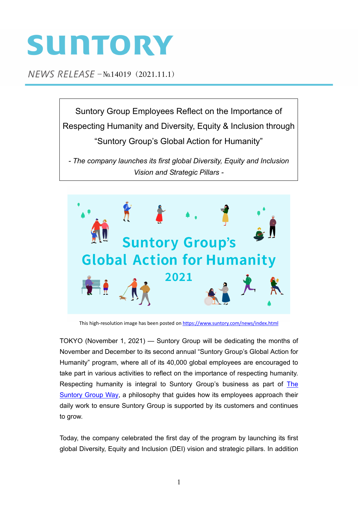# SUNTORY

 $NEWS$  RELEASE  $-N0.14019$  (2021.11.1)

Suntory Group Employees Reflect on the Importance of Respecting Humanity and Diversity, Equity & Inclusion through "Suntory Group's Global Action for Humanity"

*- The company launches its first global Diversity, Equity and Inclusion Vision and Strategic Pillars -*



This high-resolution image has been posted on https://www.suntory.com/news/index.html

TOKYO (November 1, 2021) — Suntory Group will be dedicating the months of November and December to its second annual "Suntory Group's Global Action for Humanity" program, where all of its 40,000 global employees are encouraged to take part in various activities to reflect on the importance of respecting humanity. Respecting humanity is integral to Suntory Group's business as part of The [Suntory Group Way,](https://www.suntory.com/about/philosophy/) a philosophy that guides how its employees approach their daily work to ensure Suntory Group is supported by its customers and continues to grow.

Today, the company celebrated the first day of the program by launching its first global Diversity, Equity and Inclusion (DEI) vision and strategic pillars. In addition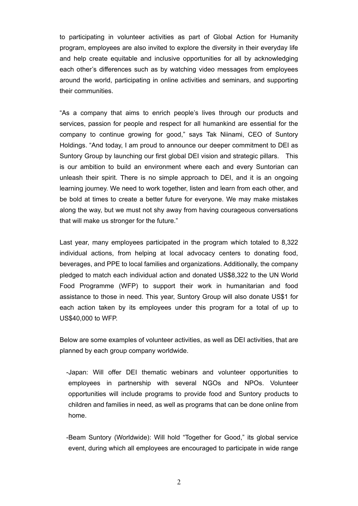to participating in volunteer activities as part of Global Action for Humanity program, employees are also invited to explore the diversity in their everyday life and help create equitable and inclusive opportunities for all by acknowledging each other's differences such as by watching video messages from employees around the world, participating in online activities and seminars, and supporting their communities.

"As a company that aims to enrich people's lives through our products and services, passion for people and respect for all humankind are essential for the company to continue growing for good," says Tak Niinami, CEO of Suntory Holdings. "And today, I am proud to announce our deeper commitment to DEI as Suntory Group by launching our first global DEI vision and strategic pillars. This is our ambition to build an environment where each and every Suntorian can unleash their spirit. There is no simple approach to DEI, and it is an ongoing learning journey. We need to work together, listen and learn from each other, and be bold at times to create a better future for everyone. We may make mistakes along the way, but we must not shy away from having courageous conversations that will make us stronger for the future."

Last year, many employees participated in the program which totaled to 8,322 individual actions, from helping at local advocacy centers to donating food, beverages, and PPE to local families and organizations. Additionally, the company pledged to match each individual action and donated US\$8,322 to the UN World Food Programme (WFP) to support their work in humanitarian and food assistance to those in need. This year, Suntory Group will also donate US\$1 for each action taken by its employees under this program for a total of up to US\$40,000 to WFP.

Below are some examples of volunteer activities, as well as DEI activities, that are planned by each group company worldwide.

- -Japan: Will offer DEI thematic webinars and volunteer opportunities to employees in partnership with several NGOs and NPOs. Volunteer opportunities will include programs to provide food and Suntory products to children and families in need, as well as programs that can be done online from home.
- -Beam Suntory (Worldwide): Will hold "Together for Good," its global service event, during which all employees are encouraged to participate in wide range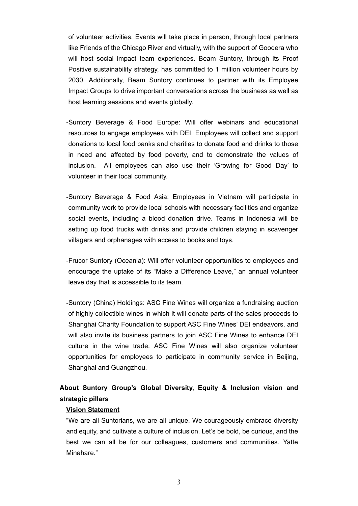of volunteer activities. Events will take place in person, through local partners like Friends of the Chicago River and virtually, with the support of Goodera who will host social impact team experiences. Beam Suntory, through its Proof Positive sustainability strategy, has committed to 1 million volunteer hours by 2030. Additionally, Beam Suntory continues to partner with its Employee Impact Groups to drive important conversations across the business as well as host learning sessions and events globally.

- -Suntory Beverage & Food Europe: Will offer webinars and educational resources to engage employees with DEI. Employees will collect and support donations to local food banks and charities to donate food and drinks to those in need and affected by food poverty, and to demonstrate the values of inclusion. All employees can also use their 'Growing for Good Day' to volunteer in their local community.
- -Suntory Beverage & Food Asia: Employees in Vietnam will participate in community work to provide local schools with necessary facilities and organize social events, including a blood donation drive. Teams in Indonesia will be setting up food trucks with drinks and provide children staying in scavenger villagers and orphanages with access to books and toys.
- -Frucor Suntory (Oceania): Will offer volunteer opportunities to employees and encourage the uptake of its "Make a Difference Leave," an annual volunteer leave day that is accessible to its team.
- -Suntory (China) Holdings: ASC Fine Wines will organize a fundraising auction of highly collectible wines in which it will donate parts of the sales proceeds to Shanghai Charity Foundation to support ASC Fine Wines' DEI endeavors, and will also invite its business partners to join ASC Fine Wines to enhance DEI culture in the wine trade. ASC Fine Wines will also organize volunteer opportunities for employees to participate in community service in Beijing, Shanghai and Guangzhou.

# **About Suntory Group's Global Diversity, Equity & Inclusion vision and strategic pillars**

#### **Vision Statement**

"We are all Suntorians, we are all unique. We courageously embrace diversity and equity, and cultivate a culture of inclusion. Let's be bold, be curious, and the best we can all be for our colleagues, customers and communities. Yatte Minahare."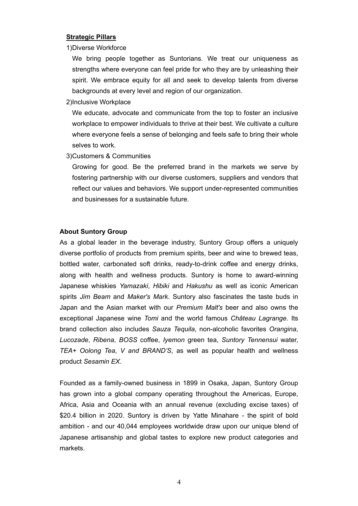## **Strategic Pillars**

1)Diverse Workforce

We bring people together as Suntorians. We treat our uniqueness as strengths where everyone can feel pride for who they are by unleashing their spirit. We embrace equity for all and seek to develop talents from diverse backgrounds at every level and region of our organization.

2)Inclusive Workplace

We educate, advocate and communicate from the top to foster an inclusive workplace to empower individuals to thrive at their best. We cultivate a culture where everyone feels a sense of belonging and feels safe to bring their whole selves to work.

3)Customers & Communities

Growing for good. Be the preferred brand in the markets we serve by fostering partnership with our diverse customers, suppliers and vendors that reflect our values and behaviors. We support under-represented communities and businesses for a sustainable future.

## **About Suntory Group**

As a global leader in the beverage industry, Suntory Group offers a uniquely diverse portfolio of products from premium spirits, beer and wine to brewed teas, bottled water, carbonated soft drinks, ready-to-drink coffee and energy drinks, along with health and wellness products. Suntory is home to award-winning Japanese whiskies *Yamazaki*, *Hibiki* and *Hakushu* as well as iconic American spirits *Jim Beam* and *Maker's Mark*. Suntory also fascinates the taste buds in Japan and the Asian market with our *Premium Malt's* beer and also owns the exceptional Japanese wine *Tomi* and the world famous *Château Lagrange*. Its brand collection also includes *Sauza Tequila*, non-alcoholic favorites *Orangina*, *Lucozade*, *Ribena*, *BOSS* coffee, *Iyemon* green tea, *Suntory Tennensui* water, *TEA+ Oolong Tea*, *V and BRAND'S*, as well as popular health and wellness product *Sesamin EX*.

Founded as a family-owned business in 1899 in Osaka, Japan, Suntory Group has grown into a global company operating throughout the Americas, Europe, Africa, Asia and Oceania with an annual revenue (excluding excise taxes) of \$20.4 billion in 2020. Suntory is driven by Yatte Minahare - the spirit of bold ambition - and our 40,044 employees worldwide draw upon our unique blend of Japanese artisanship and global tastes to explore new product categories and markets.